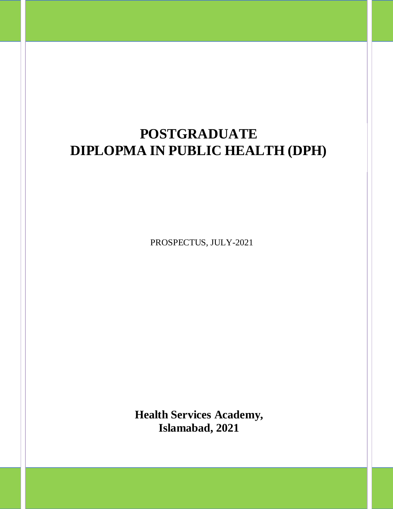# **POSTGRADUATE DIPLOPMA IN PUBLIC HEALTH (DPH)**

PROSPECTUS, JULY-2021

**Health Services Academy, Islamabad, 2021**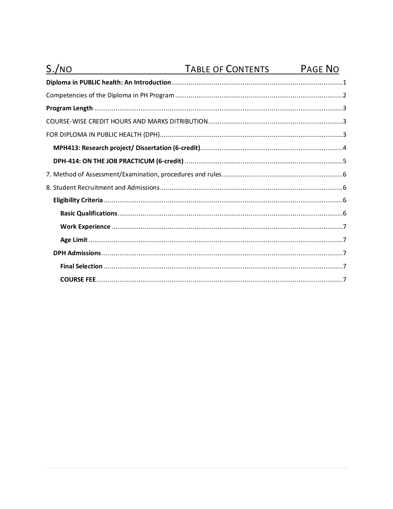| S./NO | TABLE OF CONTENTS | <b>PAGE NO</b> |
|-------|-------------------|----------------|
|       |                   |                |
|       |                   |                |
|       |                   |                |
|       |                   |                |
|       |                   |                |
|       |                   |                |
|       |                   |                |
|       |                   |                |
|       |                   |                |
|       |                   |                |
|       |                   |                |
|       |                   |                |
|       |                   |                |
|       |                   |                |
|       |                   |                |
|       |                   |                |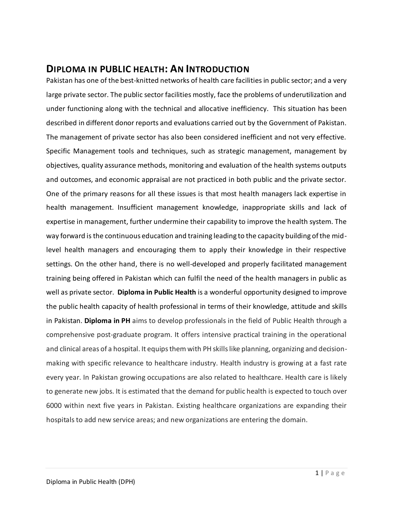## <span id="page-2-0"></span>**DIPLOMA IN PUBLIC HEALTH: AN INTRODUCTION**

Pakistan has one of the best-knitted networks of health care facilities in public sector; and a very large private sector. The public sector facilities mostly, face the problems of underutilization and under functioning along with the technical and allocative inefficiency. This situation has been described in different donor reports and evaluations carried out by the Government of Pakistan. The management of private sector has also been considered inefficient and not very effective. Specific Management tools and techniques, such as strategic management, management by objectives, quality assurance methods, monitoring and evaluation of the health systems outputs and outcomes, and economic appraisal are not practiced in both public and the private sector. One of the primary reasons for all these issues is that most health managers lack expertise in health management. Insufficient management knowledge, inappropriate skills and lack of expertise in management, further undermine their capability to improve the health system. The way forward is the continuous education and training leading to the capacity building of the midlevel health managers and encouraging them to apply their knowledge in their respective settings. On the other hand, there is no well-developed and properly facilitated management training being offered in Pakistan which can fulfil the need of the health managers in public as well as private sector. **Diploma in Public Health** is a wonderful opportunity designed to improve the public health capacity of health professional in terms of their knowledge, attitude and skills in Pakistan. **Diploma in PH** aims to develop professionals in the field of Public Health through a comprehensive post-graduate program. It offers intensive practical training in the operational and clinical areas of a hospital. It equips them with PH skills like planning, organizing and decisionmaking with specific relevance to healthcare industry. Health industry is growing at a fast rate every year. In Pakistan growing occupations are also related to healthcare. Health care is likely to generate new jobs. It is estimated that the demand for public health is expected to touch over 6000 within next five years in Pakistan. Existing healthcare organizations are expanding their hospitals to add new service areas; and new organizations are entering the domain.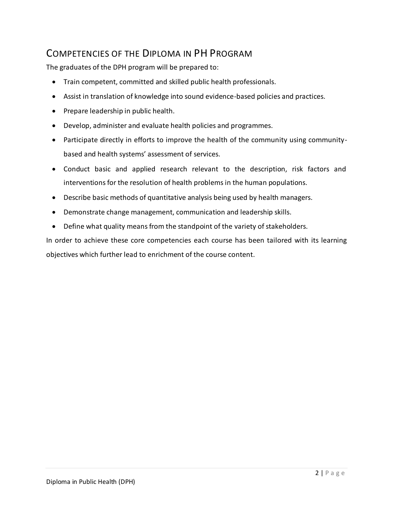## <span id="page-3-0"></span>COMPETENCIES OF THE DIPLOMA IN PH PROGRAM

The graduates of the DPH program will be prepared to:

- Train competent, committed and skilled public health professionals.
- Assist in translation of knowledge into sound evidence-based policies and practices.
- Prepare leadership in public health.
- Develop, administer and evaluate health policies and programmes.
- Participate directly in efforts to improve the health of the community using communitybased and health systems' assessment of services.
- Conduct basic and applied research relevant to the description, risk factors and interventions for the resolution of health problems in the human populations.
- Describe basic methods of quantitative analysis being used by health managers.
- Demonstrate change management, communication and leadership skills.
- Define what quality means from the standpoint of the variety of stakeholders.

In order to achieve these core competencies each course has been tailored with its learning objectives which further lead to enrichment of the course content.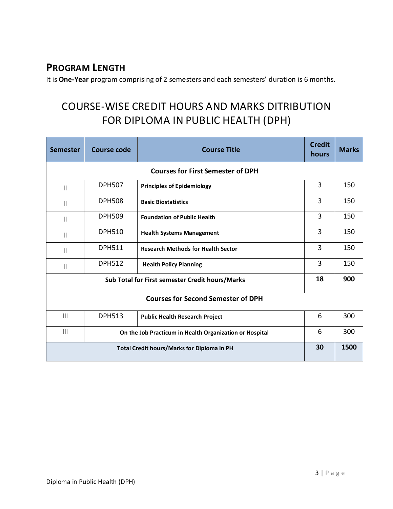## <span id="page-4-0"></span>**PROGRAM LENGTH**

<span id="page-4-1"></span>It is **One-Year** program comprising of 2 semesters and each semesters' duration is 6 months.

## <span id="page-4-2"></span>COURSE-WISE CREDIT HOURS AND MARKS DITRIBUTION FOR DIPLOMA IN PUBLIC HEALTH (DPH)

| <b>Semester</b>                                                | Course code   | <b>Course Title</b>                       | <b>Credit</b><br>hours | <b>Marks</b> |  |
|----------------------------------------------------------------|---------------|-------------------------------------------|------------------------|--------------|--|
| <b>Courses for First Semester of DPH</b>                       |               |                                           |                        |              |  |
| $\mathsf{I}$                                                   | <b>DPH507</b> | <b>Principles of Epidemiology</b>         | 3                      | 150          |  |
| $\mathbf{I}$                                                   | <b>DPH508</b> | <b>Basic Biostatistics</b>                | 3                      | 150          |  |
| $\mathsf{II}$                                                  | <b>DPH509</b> | <b>Foundation of Public Health</b>        | 3                      | 150          |  |
| $\mathbf{I}$                                                   | <b>DPH510</b> | <b>Health Systems Management</b>          | 3                      | 150          |  |
| $\mathbf{I}$                                                   | <b>DPH511</b> | <b>Research Methods for Health Sector</b> | 3                      | 150          |  |
| $\mathsf{II}$                                                  | <b>DPH512</b> | <b>Health Policy Planning</b>             | 3                      | 150          |  |
| Sub Total for First semester Credit hours/Marks                |               | 18                                        | 900                    |              |  |
| <b>Courses for Second Semester of DPH</b>                      |               |                                           |                        |              |  |
| III                                                            | <b>DPH513</b> | <b>Public Health Research Project</b>     | 6                      | 300          |  |
| III<br>On the Job Practicum in Health Organization or Hospital |               | 6                                         | 300                    |              |  |
| <b>Total Credit hours/Marks for Diploma in PH</b>              |               |                                           | 30                     | 1500         |  |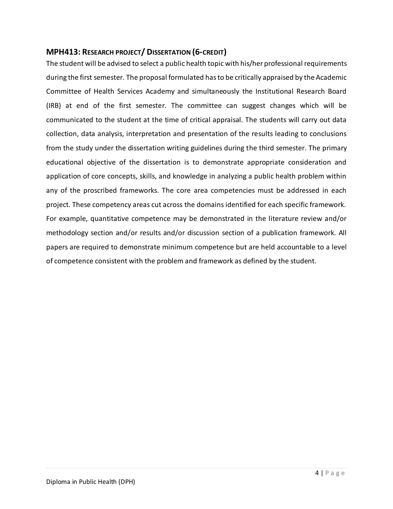## <span id="page-5-0"></span>**MPH413: RESEARCH PROJECT/ DISSERTATION (6-CREDIT)**

The student will be advised to select a public health topic with his/her professional requirements during the first semester. The proposal formulated has to be critically appraised by the Academic Committee of Health Services Academy and simultaneously the Institutional Research Board (IRB) at end of the first semester. The committee can suggest changes which will be communicated to the student at the time of critical appraisal. The students will carry out data collection, data analysis, interpretation and presentation of the results leading to conclusions from the study under the dissertation writing guidelines during the third semester. The primary educational objective of the dissertation is to demonstrate appropriate consideration and application of core concepts, skills, and knowledge in analyzing a public health problem within any of the proscribed frameworks. The core area competencies must be addressed in each project. These competency areas cut across the domains identified for each specific framework. For example, quantitative competence may be demonstrated in the literature review and/or methodology section and/or results and/or discussion section of a publication framework. All papers are required to demonstrate minimum competence but are held accountable to a level of competence consistent with the problem and framework as defined by the student.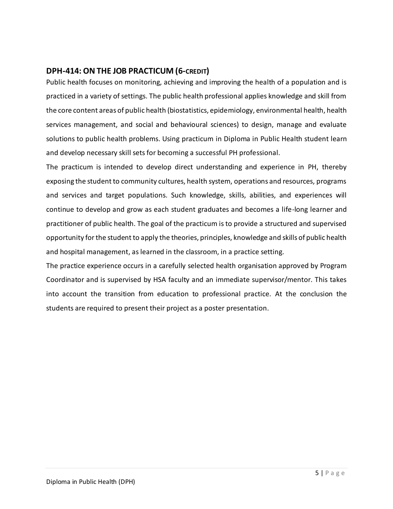## <span id="page-6-0"></span>**DPH-414: ONTHE JOB PRACTICUM (6-CREDIT)**

Public health focuses on monitoring, achieving and improving the health of a population and is practiced in a variety of settings. The public health professional applies knowledge and skill from the core content areas of public health (biostatistics, epidemiology, environmental health, health services management, and social and behavioural sciences) to design, manage and evaluate solutions to public health problems. Using practicum in Diploma in Public Health student learn and develop necessary skill sets for becoming a successful PH professional.

The practicum is intended to develop direct understanding and experience in PH, thereby exposing the student to community cultures, health system, operations and resources, programs and services and target populations. Such knowledge, skills, abilities, and experiences will continue to develop and grow as each student graduates and becomes a life-long learner and practitioner of public health. The goal of the practicum is to provide a structured and supervised opportunity for the student to apply the theories, principles, knowledge and skills of public health and hospital management, as learned in the classroom, in a practice setting.

The practice experience occurs in a carefully selected health organisation approved by Program Coordinator and is supervised by HSA faculty and an immediate supervisor/mentor. This takes into account the transition from education to professional practice. At the conclusion the students are required to present their project as a poster presentation.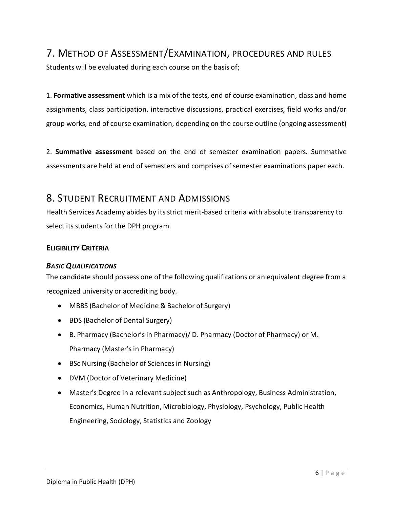## <span id="page-7-0"></span>7. METHOD OF ASSESSMENT/EXAMINATION, PROCEDURES AND RULES

Students will be evaluated during each course on the basis of;

1. **Formative assessment** which is a mix of the tests, end of course examination, class and home assignments, class participation, interactive discussions, practical exercises, field works and/or group works, end of course examination, depending on the course outline (ongoing assessment)

2. **Summative assessment** based on the end of semester examination papers. Summative assessments are held at end of semesters and comprises of semester examinations paper each.

## <span id="page-7-1"></span>8. STUDENT RECRUITMENT AND ADMISSIONS

Health Services Academy abides by its strict merit-based criteria with absolute transparency to select its students for the DPH program.

## <span id="page-7-2"></span>**ELIGIBILITY CRITERIA**

## <span id="page-7-3"></span>*BASIC QUALIFICATIONS*

The candidate should possess one of the following qualifications or an equivalent degree from a recognized university or accrediting body.

- MBBS (Bachelor of Medicine & Bachelor of Surgery)
- BDS (Bachelor of Dental Surgery)
- B. Pharmacy (Bachelor's in Pharmacy)/ D. Pharmacy (Doctor of Pharmacy) or M. Pharmacy (Master's in Pharmacy)
- BSc Nursing (Bachelor of Sciences in Nursing)
- DVM (Doctor of Veterinary Medicine)
- Master's Degree in a relevant subject such as Anthropology, Business Administration, Economics, Human Nutrition, Microbiology, Physiology, Psychology, Public Health Engineering, Sociology, Statistics and Zoology